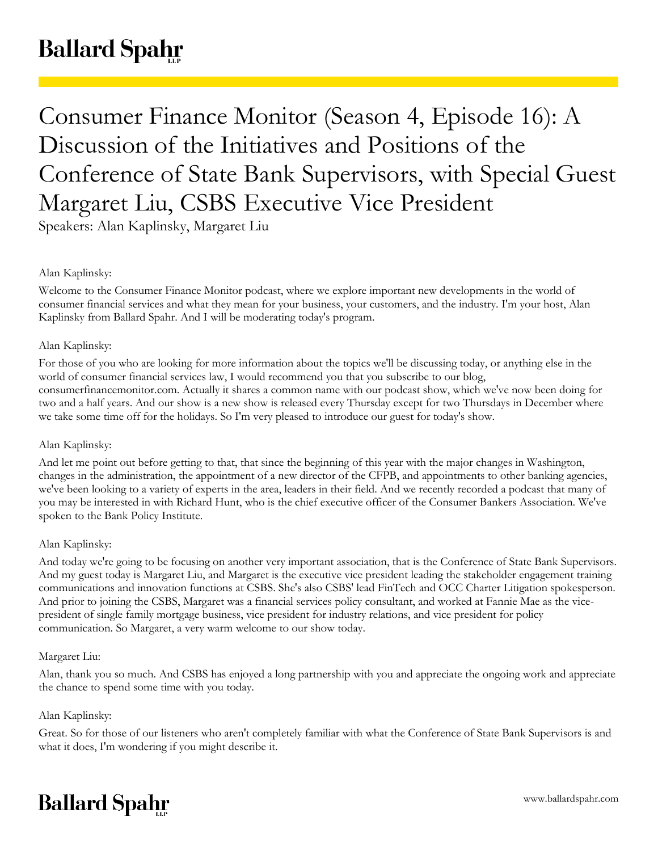# **Ballard Spahr**

## Consumer Finance Monitor (Season 4, Episode 16): A Discussion of the Initiatives and Positions of the Conference of State Bank Supervisors, with Special Guest Margaret Liu, CSBS Executive Vice President

Speakers: Alan Kaplinsky, Margaret Liu

## Alan Kaplinsky:

Welcome to the Consumer Finance Monitor podcast, where we explore important new developments in the world of consumer financial services and what they mean for your business, your customers, and the industry. I'm your host, Alan Kaplinsky from Ballard Spahr. And I will be moderating today's program.

## Alan Kaplinsky:

For those of you who are looking for more information about the topics we'll be discussing today, or anything else in the world of consumer financial services law, I would recommend you that you subscribe to our blog, consumerfinancemonitor.com. Actually it shares a common name with our podcast show, which we've now been doing for two and a half years. And our show is a new show is released every Thursday except for two Thursdays in December where we take some time off for the holidays. So I'm very pleased to introduce our guest for today's show.

## Alan Kaplinsky:

And let me point out before getting to that, that since the beginning of this year with the major changes in Washington, changes in the administration, the appointment of a new director of the CFPB, and appointments to other banking agencies, we've been looking to a variety of experts in the area, leaders in their field. And we recently recorded a podcast that many of you may be interested in with Richard Hunt, who is the chief executive officer of the Consumer Bankers Association. We've spoken to the Bank Policy Institute.

## Alan Kaplinsky:

And today we're going to be focusing on another very important association, that is the Conference of State Bank Supervisors. And my guest today is Margaret Liu, and Margaret is the executive vice president leading the stakeholder engagement training communications and innovation functions at CSBS. She's also CSBS' lead FinTech and OCC Charter Litigation spokesperson. And prior to joining the CSBS, Margaret was a financial services policy consultant, and worked at Fannie Mae as the vicepresident of single family mortgage business, vice president for industry relations, and vice president for policy communication. So Margaret, a very warm welcome to our show today.

## Margaret Liu:

Alan, thank you so much. And CSBS has enjoyed a long partnership with you and appreciate the ongoing work and appreciate the chance to spend some time with you today.

## Alan Kaplinsky:

Great. So for those of our listeners who aren't completely familiar with what the Conference of State Bank Supervisors is and what it does, I'm wondering if you might describe it.

## **Ballard Spahr**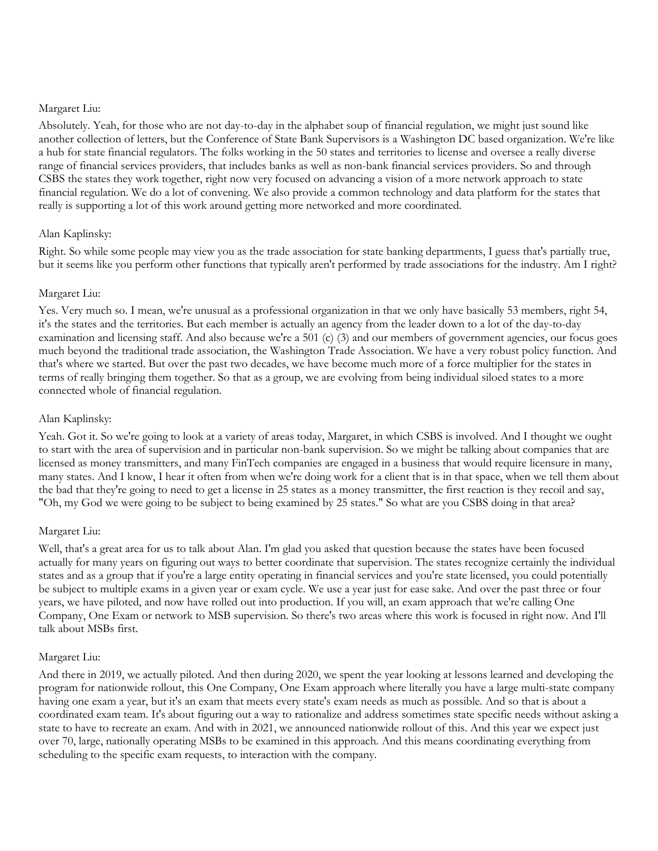#### Margaret Liu:

Absolutely. Yeah, for those who are not day-to-day in the alphabet soup of financial regulation, we might just sound like another collection of letters, but the Conference of State Bank Supervisors is a Washington DC based organization. We're like a hub for state financial regulators. The folks working in the 50 states and territories to license and oversee a really diverse range of financial services providers, that includes banks as well as non-bank financial services providers. So and through CSBS the states they work together, right now very focused on advancing a vision of a more network approach to state financial regulation. We do a lot of convening. We also provide a common technology and data platform for the states that really is supporting a lot of this work around getting more networked and more coordinated.

## Alan Kaplinsky:

Right. So while some people may view you as the trade association for state banking departments, I guess that's partially true, but it seems like you perform other functions that typically aren't performed by trade associations for the industry. Am I right?

#### Margaret Liu:

Yes. Very much so. I mean, we're unusual as a professional organization in that we only have basically 53 members, right 54, it's the states and the territories. But each member is actually an agency from the leader down to a lot of the day-to-day examination and licensing staff. And also because we're a 501 (c) (3) and our members of government agencies, our focus goes much beyond the traditional trade association, the Washington Trade Association. We have a very robust policy function. And that's where we started. But over the past two decades, we have become much more of a force multiplier for the states in terms of really bringing them together. So that as a group, we are evolving from being individual siloed states to a more connected whole of financial regulation.

#### Alan Kaplinsky:

Yeah. Got it. So we're going to look at a variety of areas today, Margaret, in which CSBS is involved. And I thought we ought to start with the area of supervision and in particular non-bank supervision. So we might be talking about companies that are licensed as money transmitters, and many FinTech companies are engaged in a business that would require licensure in many, many states. And I know, I hear it often from when we're doing work for a client that is in that space, when we tell them about the bad that they're going to need to get a license in 25 states as a money transmitter, the first reaction is they recoil and say, "Oh, my God we were going to be subject to being examined by 25 states." So what are you CSBS doing in that area?

#### Margaret Liu:

Well, that's a great area for us to talk about Alan. I'm glad you asked that question because the states have been focused actually for many years on figuring out ways to better coordinate that supervision. The states recognize certainly the individual states and as a group that if you're a large entity operating in financial services and you're state licensed, you could potentially be subject to multiple exams in a given year or exam cycle. We use a year just for ease sake. And over the past three or four years, we have piloted, and now have rolled out into production. If you will, an exam approach that we're calling One Company, One Exam or network to MSB supervision. So there's two areas where this work is focused in right now. And I'll talk about MSBs first.

## Margaret Liu:

And there in 2019, we actually piloted. And then during 2020, we spent the year looking at lessons learned and developing the program for nationwide rollout, this One Company, One Exam approach where literally you have a large multi-state company having one exam a year, but it's an exam that meets every state's exam needs as much as possible. And so that is about a coordinated exam team. It's about figuring out a way to rationalize and address sometimes state specific needs without asking a state to have to recreate an exam. And with in 2021, we announced nationwide rollout of this. And this year we expect just over 70, large, nationally operating MSBs to be examined in this approach. And this means coordinating everything from scheduling to the specific exam requests, to interaction with the company.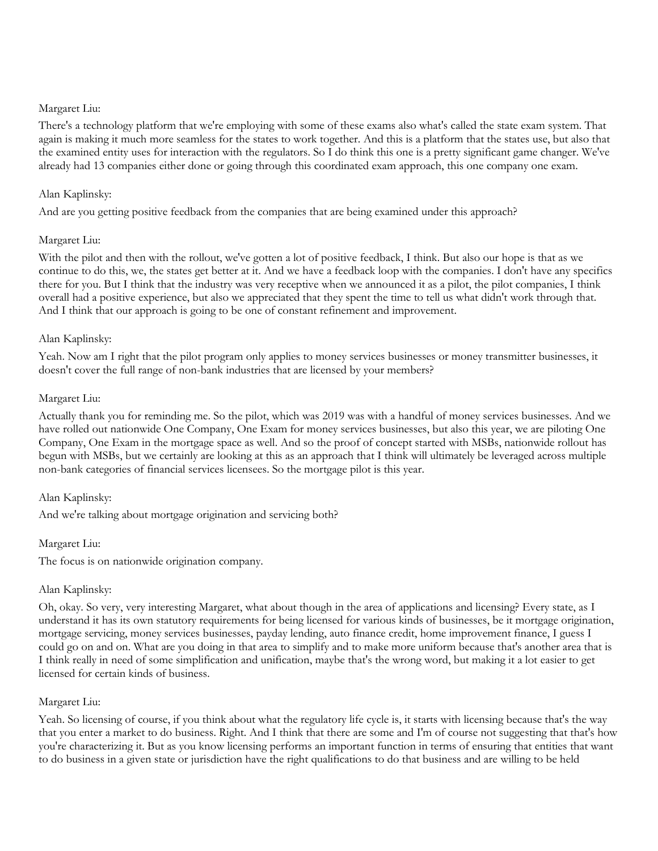#### Margaret Liu:

There's a technology platform that we're employing with some of these exams also what's called the state exam system. That again is making it much more seamless for the states to work together. And this is a platform that the states use, but also that the examined entity uses for interaction with the regulators. So I do think this one is a pretty significant game changer. We've already had 13 companies either done or going through this coordinated exam approach, this one company one exam.

## Alan Kaplinsky:

And are you getting positive feedback from the companies that are being examined under this approach?

## Margaret Liu:

With the pilot and then with the rollout, we've gotten a lot of positive feedback, I think. But also our hope is that as we continue to do this, we, the states get better at it. And we have a feedback loop with the companies. I don't have any specifics there for you. But I think that the industry was very receptive when we announced it as a pilot, the pilot companies, I think overall had a positive experience, but also we appreciated that they spent the time to tell us what didn't work through that. And I think that our approach is going to be one of constant refinement and improvement.

#### Alan Kaplinsky:

Yeah. Now am I right that the pilot program only applies to money services businesses or money transmitter businesses, it doesn't cover the full range of non-bank industries that are licensed by your members?

#### Margaret Liu:

Actually thank you for reminding me. So the pilot, which was 2019 was with a handful of money services businesses. And we have rolled out nationwide One Company, One Exam for money services businesses, but also this year, we are piloting One Company, One Exam in the mortgage space as well. And so the proof of concept started with MSBs, nationwide rollout has begun with MSBs, but we certainly are looking at this as an approach that I think will ultimately be leveraged across multiple non-bank categories of financial services licensees. So the mortgage pilot is this year.

## Alan Kaplinsky:

And we're talking about mortgage origination and servicing both?

#### Margaret Liu:

The focus is on nationwide origination company.

## Alan Kaplinsky:

Oh, okay. So very, very interesting Margaret, what about though in the area of applications and licensing? Every state, as I understand it has its own statutory requirements for being licensed for various kinds of businesses, be it mortgage origination, mortgage servicing, money services businesses, payday lending, auto finance credit, home improvement finance, I guess I could go on and on. What are you doing in that area to simplify and to make more uniform because that's another area that is I think really in need of some simplification and unification, maybe that's the wrong word, but making it a lot easier to get licensed for certain kinds of business.

## Margaret Liu:

Yeah. So licensing of course, if you think about what the regulatory life cycle is, it starts with licensing because that's the way that you enter a market to do business. Right. And I think that there are some and I'm of course not suggesting that that's how you're characterizing it. But as you know licensing performs an important function in terms of ensuring that entities that want to do business in a given state or jurisdiction have the right qualifications to do that business and are willing to be held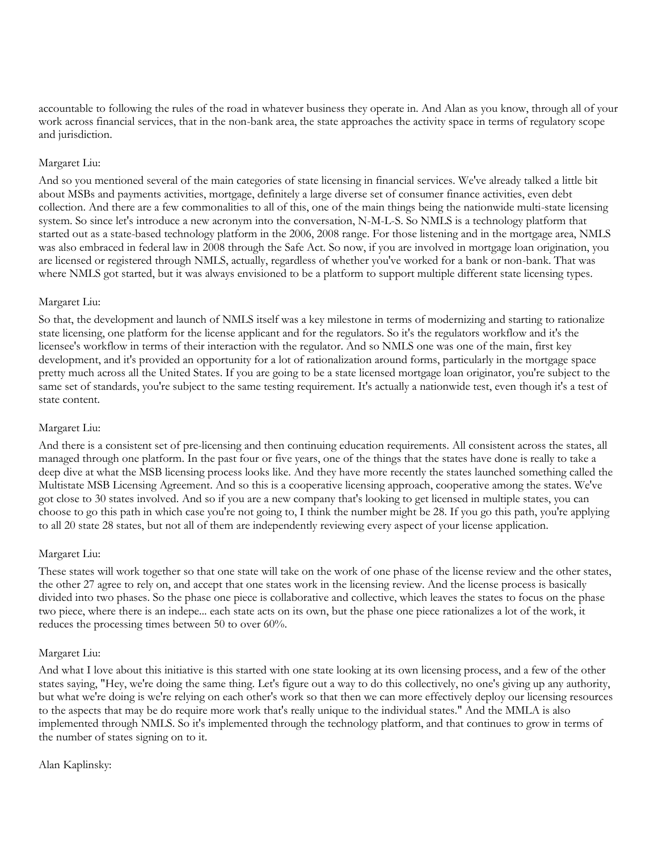accountable to following the rules of the road in whatever business they operate in. And Alan as you know, through all of your work across financial services, that in the non-bank area, the state approaches the activity space in terms of regulatory scope and jurisdiction.

## Margaret Liu:

And so you mentioned several of the main categories of state licensing in financial services. We've already talked a little bit about MSBs and payments activities, mortgage, definitely a large diverse set of consumer finance activities, even debt collection. And there are a few commonalities to all of this, one of the main things being the nationwide multi-state licensing system. So since let's introduce a new acronym into the conversation, N-M-L-S. So NMLS is a technology platform that started out as a state-based technology platform in the 2006, 2008 range. For those listening and in the mortgage area, NMLS was also embraced in federal law in 2008 through the Safe Act. So now, if you are involved in mortgage loan origination, you are licensed or registered through NMLS, actually, regardless of whether you've worked for a bank or non-bank. That was where NMLS got started, but it was always envisioned to be a platform to support multiple different state licensing types.

## Margaret Liu:

So that, the development and launch of NMLS itself was a key milestone in terms of modernizing and starting to rationalize state licensing, one platform for the license applicant and for the regulators. So it's the regulators workflow and it's the licensee's workflow in terms of their interaction with the regulator. And so NMLS one was one of the main, first key development, and it's provided an opportunity for a lot of rationalization around forms, particularly in the mortgage space pretty much across all the United States. If you are going to be a state licensed mortgage loan originator, you're subject to the same set of standards, you're subject to the same testing requirement. It's actually a nationwide test, even though it's a test of state content.

## Margaret Liu:

And there is a consistent set of pre-licensing and then continuing education requirements. All consistent across the states, all managed through one platform. In the past four or five years, one of the things that the states have done is really to take a deep dive at what the MSB licensing process looks like. And they have more recently the states launched something called the Multistate MSB Licensing Agreement. And so this is a cooperative licensing approach, cooperative among the states. We've got close to 30 states involved. And so if you are a new company that's looking to get licensed in multiple states, you can choose to go this path in which case you're not going to, I think the number might be 28. If you go this path, you're applying to all 20 state 28 states, but not all of them are independently reviewing every aspect of your license application.

#### Margaret Liu:

These states will work together so that one state will take on the work of one phase of the license review and the other states, the other 27 agree to rely on, and accept that one states work in the licensing review. And the license process is basically divided into two phases. So the phase one piece is collaborative and collective, which leaves the states to focus on the phase two piece, where there is an indepe... each state acts on its own, but the phase one piece rationalizes a lot of the work, it reduces the processing times between 50 to over 60%.

#### Margaret Liu:

And what I love about this initiative is this started with one state looking at its own licensing process, and a few of the other states saying, "Hey, we're doing the same thing. Let's figure out a way to do this collectively, no one's giving up any authority, but what we're doing is we're relying on each other's work so that then we can more effectively deploy our licensing resources to the aspects that may be do require more work that's really unique to the individual states." And the MMLA is also implemented through NMLS. So it's implemented through the technology platform, and that continues to grow in terms of the number of states signing on to it.

#### Alan Kaplinsky: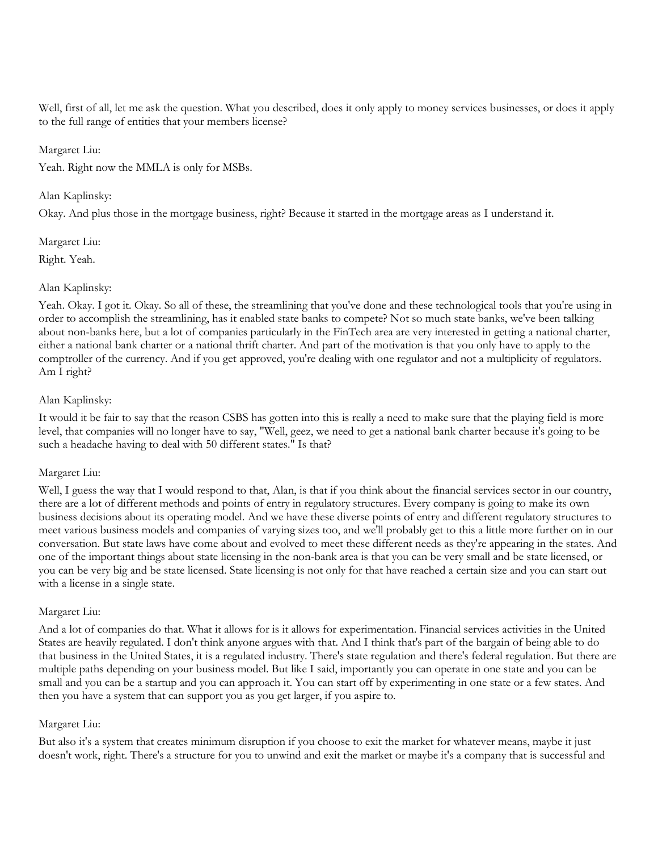Well, first of all, let me ask the question. What you described, does it only apply to money services businesses, or does it apply to the full range of entities that your members license?

#### Margaret Liu:

Yeah. Right now the MMLA is only for MSBs.

## Alan Kaplinsky:

Okay. And plus those in the mortgage business, right? Because it started in the mortgage areas as I understand it.

#### Margaret Liu:

Right. Yeah.

## Alan Kaplinsky:

Yeah. Okay. I got it. Okay. So all of these, the streamlining that you've done and these technological tools that you're using in order to accomplish the streamlining, has it enabled state banks to compete? Not so much state banks, we've been talking about non-banks here, but a lot of companies particularly in the FinTech area are very interested in getting a national charter, either a national bank charter or a national thrift charter. And part of the motivation is that you only have to apply to the comptroller of the currency. And if you get approved, you're dealing with one regulator and not a multiplicity of regulators. Am I right?

## Alan Kaplinsky:

It would it be fair to say that the reason CSBS has gotten into this is really a need to make sure that the playing field is more level, that companies will no longer have to say, "Well, geez, we need to get a national bank charter because it's going to be such a headache having to deal with 50 different states." Is that?

## Margaret Liu:

Well, I guess the way that I would respond to that, Alan, is that if you think about the financial services sector in our country, there are a lot of different methods and points of entry in regulatory structures. Every company is going to make its own business decisions about its operating model. And we have these diverse points of entry and different regulatory structures to meet various business models and companies of varying sizes too, and we'll probably get to this a little more further on in our conversation. But state laws have come about and evolved to meet these different needs as they're appearing in the states. And one of the important things about state licensing in the non-bank area is that you can be very small and be state licensed, or you can be very big and be state licensed. State licensing is not only for that have reached a certain size and you can start out with a license in a single state.

#### Margaret Liu:

And a lot of companies do that. What it allows for is it allows for experimentation. Financial services activities in the United States are heavily regulated. I don't think anyone argues with that. And I think that's part of the bargain of being able to do that business in the United States, it is a regulated industry. There's state regulation and there's federal regulation. But there are multiple paths depending on your business model. But like I said, importantly you can operate in one state and you can be small and you can be a startup and you can approach it. You can start off by experimenting in one state or a few states. And then you have a system that can support you as you get larger, if you aspire to.

## Margaret Liu:

But also it's a system that creates minimum disruption if you choose to exit the market for whatever means, maybe it just doesn't work, right. There's a structure for you to unwind and exit the market or maybe it's a company that is successful and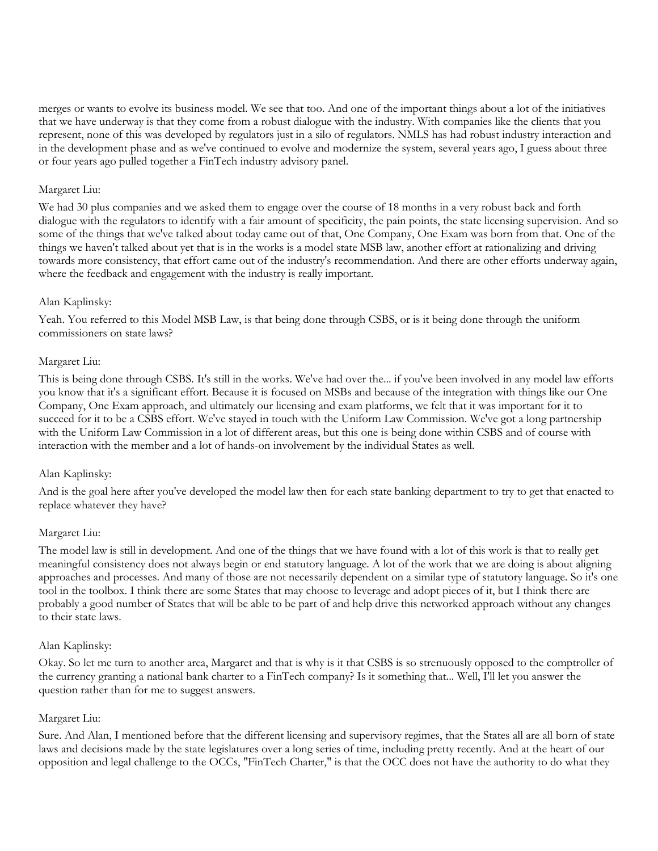merges or wants to evolve its business model. We see that too. And one of the important things about a lot of the initiatives that we have underway is that they come from a robust dialogue with the industry. With companies like the clients that you represent, none of this was developed by regulators just in a silo of regulators. NMLS has had robust industry interaction and in the development phase and as we've continued to evolve and modernize the system, several years ago, I guess about three or four years ago pulled together a FinTech industry advisory panel.

## Margaret Liu:

We had 30 plus companies and we asked them to engage over the course of 18 months in a very robust back and forth dialogue with the regulators to identify with a fair amount of specificity, the pain points, the state licensing supervision. And so some of the things that we've talked about today came out of that, One Company, One Exam was born from that. One of the things we haven't talked about yet that is in the works is a model state MSB law, another effort at rationalizing and driving towards more consistency, that effort came out of the industry's recommendation. And there are other efforts underway again, where the feedback and engagement with the industry is really important.

#### Alan Kaplinsky:

Yeah. You referred to this Model MSB Law, is that being done through CSBS, or is it being done through the uniform commissioners on state laws?

#### Margaret Liu:

This is being done through CSBS. It's still in the works. We've had over the... if you've been involved in any model law efforts you know that it's a significant effort. Because it is focused on MSBs and because of the integration with things like our One Company, One Exam approach, and ultimately our licensing and exam platforms, we felt that it was important for it to succeed for it to be a CSBS effort. We've stayed in touch with the Uniform Law Commission. We've got a long partnership with the Uniform Law Commission in a lot of different areas, but this one is being done within CSBS and of course with interaction with the member and a lot of hands-on involvement by the individual States as well.

## Alan Kaplinsky:

And is the goal here after you've developed the model law then for each state banking department to try to get that enacted to replace whatever they have?

## Margaret Liu:

The model law is still in development. And one of the things that we have found with a lot of this work is that to really get meaningful consistency does not always begin or end statutory language. A lot of the work that we are doing is about aligning approaches and processes. And many of those are not necessarily dependent on a similar type of statutory language. So it's one tool in the toolbox. I think there are some States that may choose to leverage and adopt pieces of it, but I think there are probably a good number of States that will be able to be part of and help drive this networked approach without any changes to their state laws.

#### Alan Kaplinsky:

Okay. So let me turn to another area, Margaret and that is why is it that CSBS is so strenuously opposed to the comptroller of the currency granting a national bank charter to a FinTech company? Is it something that... Well, I'll let you answer the question rather than for me to suggest answers.

#### Margaret Liu:

Sure. And Alan, I mentioned before that the different licensing and supervisory regimes, that the States all are all born of state laws and decisions made by the state legislatures over a long series of time, including pretty recently. And at the heart of our opposition and legal challenge to the OCCs, "FinTech Charter," is that the OCC does not have the authority to do what they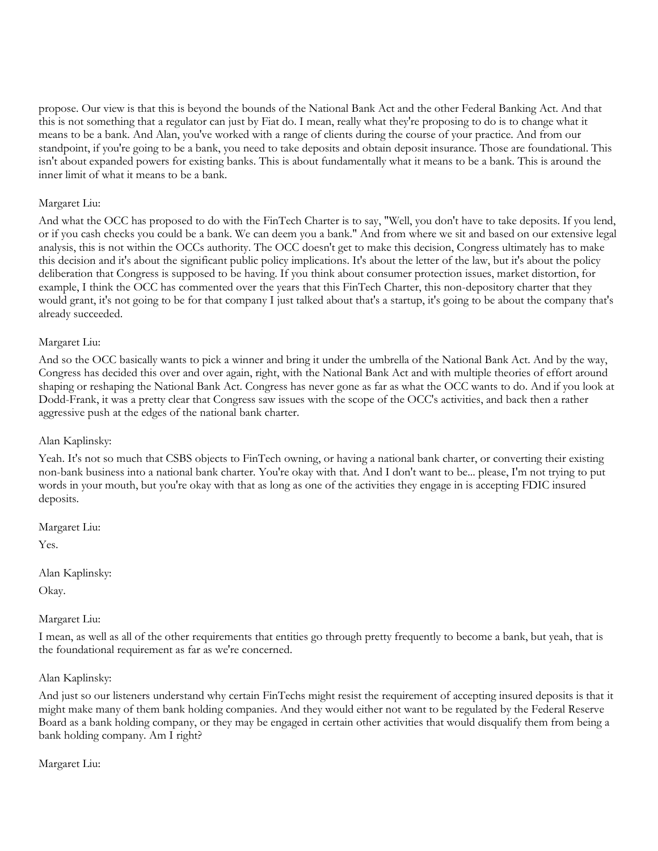propose. Our view is that this is beyond the bounds of the National Bank Act and the other Federal Banking Act. And that this is not something that a regulator can just by Fiat do. I mean, really what they're proposing to do is to change what it means to be a bank. And Alan, you've worked with a range of clients during the course of your practice. And from our standpoint, if you're going to be a bank, you need to take deposits and obtain deposit insurance. Those are foundational. This isn't about expanded powers for existing banks. This is about fundamentally what it means to be a bank. This is around the inner limit of what it means to be a bank.

## Margaret Liu:

And what the OCC has proposed to do with the FinTech Charter is to say, "Well, you don't have to take deposits. If you lend, or if you cash checks you could be a bank. We can deem you a bank." And from where we sit and based on our extensive legal analysis, this is not within the OCCs authority. The OCC doesn't get to make this decision, Congress ultimately has to make this decision and it's about the significant public policy implications. It's about the letter of the law, but it's about the policy deliberation that Congress is supposed to be having. If you think about consumer protection issues, market distortion, for example, I think the OCC has commented over the years that this FinTech Charter, this non-depository charter that they would grant, it's not going to be for that company I just talked about that's a startup, it's going to be about the company that's already succeeded.

#### Margaret Liu:

And so the OCC basically wants to pick a winner and bring it under the umbrella of the National Bank Act. And by the way, Congress has decided this over and over again, right, with the National Bank Act and with multiple theories of effort around shaping or reshaping the National Bank Act. Congress has never gone as far as what the OCC wants to do. And if you look at Dodd-Frank, it was a pretty clear that Congress saw issues with the scope of the OCC's activities, and back then a rather aggressive push at the edges of the national bank charter.

#### Alan Kaplinsky:

Yeah. It's not so much that CSBS objects to FinTech owning, or having a national bank charter, or converting their existing non-bank business into a national bank charter. You're okay with that. And I don't want to be... please, I'm not trying to put words in your mouth, but you're okay with that as long as one of the activities they engage in is accepting FDIC insured deposits.

Margaret Liu:

Yes.

Alan Kaplinsky:

Okay.

## Margaret Liu:

I mean, as well as all of the other requirements that entities go through pretty frequently to become a bank, but yeah, that is the foundational requirement as far as we're concerned.

#### Alan Kaplinsky:

And just so our listeners understand why certain FinTechs might resist the requirement of accepting insured deposits is that it might make many of them bank holding companies. And they would either not want to be regulated by the Federal Reserve Board as a bank holding company, or they may be engaged in certain other activities that would disqualify them from being a bank holding company. Am I right?

Margaret Liu: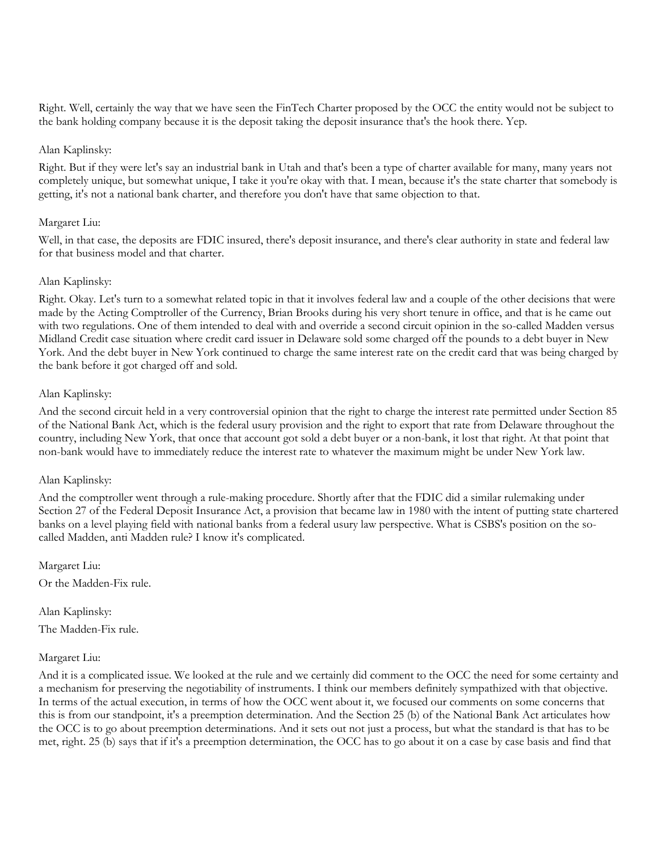Right. Well, certainly the way that we have seen the FinTech Charter proposed by the OCC the entity would not be subject to the bank holding company because it is the deposit taking the deposit insurance that's the hook there. Yep.

#### Alan Kaplinsky:

Right. But if they were let's say an industrial bank in Utah and that's been a type of charter available for many, many years not completely unique, but somewhat unique, I take it you're okay with that. I mean, because it's the state charter that somebody is getting, it's not a national bank charter, and therefore you don't have that same objection to that.

#### Margaret Liu:

Well, in that case, the deposits are FDIC insured, there's deposit insurance, and there's clear authority in state and federal law for that business model and that charter.

#### Alan Kaplinsky:

Right. Okay. Let's turn to a somewhat related topic in that it involves federal law and a couple of the other decisions that were made by the Acting Comptroller of the Currency, Brian Brooks during his very short tenure in office, and that is he came out with two regulations. One of them intended to deal with and override a second circuit opinion in the so-called Madden versus Midland Credit case situation where credit card issuer in Delaware sold some charged off the pounds to a debt buyer in New York. And the debt buyer in New York continued to charge the same interest rate on the credit card that was being charged by the bank before it got charged off and sold.

#### Alan Kaplinsky:

And the second circuit held in a very controversial opinion that the right to charge the interest rate permitted under Section 85 of the National Bank Act, which is the federal usury provision and the right to export that rate from Delaware throughout the country, including New York, that once that account got sold a debt buyer or a non-bank, it lost that right. At that point that non-bank would have to immediately reduce the interest rate to whatever the maximum might be under New York law.

#### Alan Kaplinsky:

And the comptroller went through a rule-making procedure. Shortly after that the FDIC did a similar rulemaking under Section 27 of the Federal Deposit Insurance Act, a provision that became law in 1980 with the intent of putting state chartered banks on a level playing field with national banks from a federal usury law perspective. What is CSBS's position on the socalled Madden, anti Madden rule? I know it's complicated.

Margaret Liu: Or the Madden-Fix rule.

Alan Kaplinsky: The Madden-Fix rule.

#### Margaret Liu:

And it is a complicated issue. We looked at the rule and we certainly did comment to the OCC the need for some certainty and a mechanism for preserving the negotiability of instruments. I think our members definitely sympathized with that objective. In terms of the actual execution, in terms of how the OCC went about it, we focused our comments on some concerns that this is from our standpoint, it's a preemption determination. And the Section 25 (b) of the National Bank Act articulates how the OCC is to go about preemption determinations. And it sets out not just a process, but what the standard is that has to be met, right. 25 (b) says that if it's a preemption determination, the OCC has to go about it on a case by case basis and find that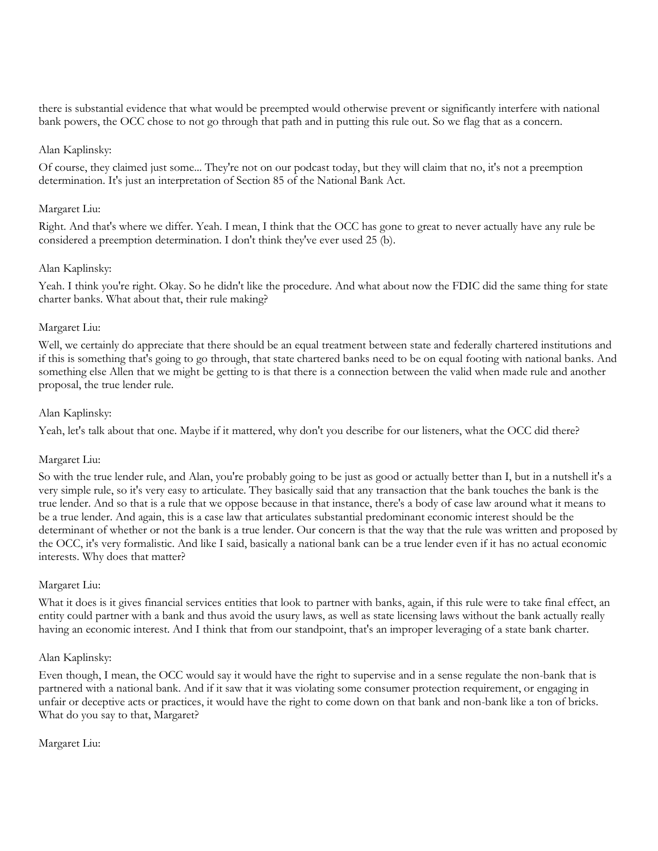there is substantial evidence that what would be preempted would otherwise prevent or significantly interfere with national bank powers, the OCC chose to not go through that path and in putting this rule out. So we flag that as a concern.

## Alan Kaplinsky:

Of course, they claimed just some... They're not on our podcast today, but they will claim that no, it's not a preemption determination. It's just an interpretation of Section 85 of the National Bank Act.

#### Margaret Liu:

Right. And that's where we differ. Yeah. I mean, I think that the OCC has gone to great to never actually have any rule be considered a preemption determination. I don't think they've ever used 25 (b).

#### Alan Kaplinsky:

Yeah. I think you're right. Okay. So he didn't like the procedure. And what about now the FDIC did the same thing for state charter banks. What about that, their rule making?

#### Margaret Liu:

Well, we certainly do appreciate that there should be an equal treatment between state and federally chartered institutions and if this is something that's going to go through, that state chartered banks need to be on equal footing with national banks. And something else Allen that we might be getting to is that there is a connection between the valid when made rule and another proposal, the true lender rule.

#### Alan Kaplinsky:

Yeah, let's talk about that one. Maybe if it mattered, why don't you describe for our listeners, what the OCC did there?

## Margaret Liu:

So with the true lender rule, and Alan, you're probably going to be just as good or actually better than I, but in a nutshell it's a very simple rule, so it's very easy to articulate. They basically said that any transaction that the bank touches the bank is the true lender. And so that is a rule that we oppose because in that instance, there's a body of case law around what it means to be a true lender. And again, this is a case law that articulates substantial predominant economic interest should be the determinant of whether or not the bank is a true lender. Our concern is that the way that the rule was written and proposed by the OCC, it's very formalistic. And like I said, basically a national bank can be a true lender even if it has no actual economic interests. Why does that matter?

#### Margaret Liu:

What it does is it gives financial services entities that look to partner with banks, again, if this rule were to take final effect, an entity could partner with a bank and thus avoid the usury laws, as well as state licensing laws without the bank actually really having an economic interest. And I think that from our standpoint, that's an improper leveraging of a state bank charter.

#### Alan Kaplinsky:

Even though, I mean, the OCC would say it would have the right to supervise and in a sense regulate the non-bank that is partnered with a national bank. And if it saw that it was violating some consumer protection requirement, or engaging in unfair or deceptive acts or practices, it would have the right to come down on that bank and non-bank like a ton of bricks. What do you say to that, Margaret?

#### Margaret Liu: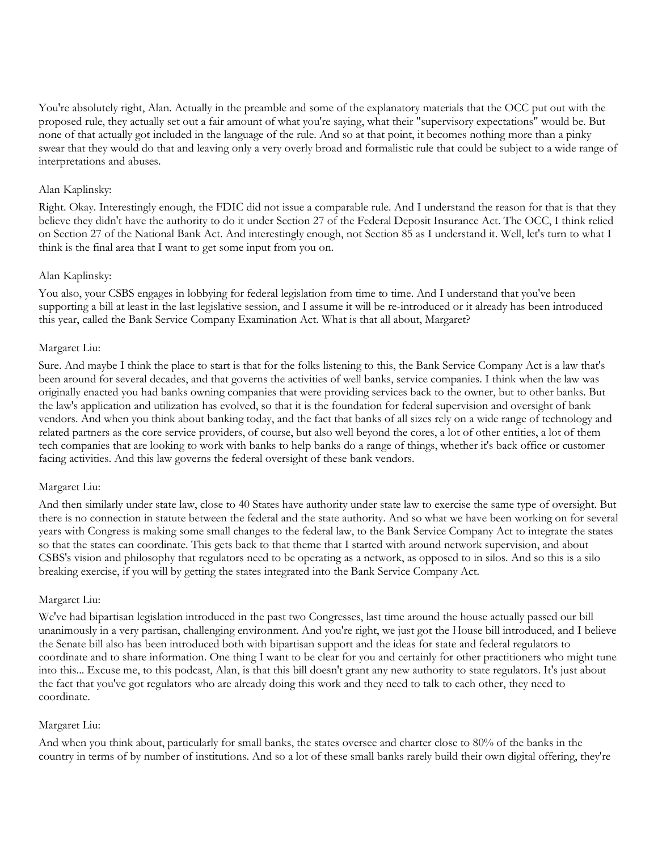You're absolutely right, Alan. Actually in the preamble and some of the explanatory materials that the OCC put out with the proposed rule, they actually set out a fair amount of what you're saying, what their "supervisory expectations" would be. But none of that actually got included in the language of the rule. And so at that point, it becomes nothing more than a pinky swear that they would do that and leaving only a very overly broad and formalistic rule that could be subject to a wide range of interpretations and abuses.

#### Alan Kaplinsky:

Right. Okay. Interestingly enough, the FDIC did not issue a comparable rule. And I understand the reason for that is that they believe they didn't have the authority to do it under Section 27 of the Federal Deposit Insurance Act. The OCC, I think relied on Section 27 of the National Bank Act. And interestingly enough, not Section 85 as I understand it. Well, let's turn to what I think is the final area that I want to get some input from you on.

#### Alan Kaplinsky:

You also, your CSBS engages in lobbying for federal legislation from time to time. And I understand that you've been supporting a bill at least in the last legislative session, and I assume it will be re-introduced or it already has been introduced this year, called the Bank Service Company Examination Act. What is that all about, Margaret?

#### Margaret Liu:

Sure. And maybe I think the place to start is that for the folks listening to this, the Bank Service Company Act is a law that's been around for several decades, and that governs the activities of well banks, service companies. I think when the law was originally enacted you had banks owning companies that were providing services back to the owner, but to other banks. But the law's application and utilization has evolved, so that it is the foundation for federal supervision and oversight of bank vendors. And when you think about banking today, and the fact that banks of all sizes rely on a wide range of technology and related partners as the core service providers, of course, but also well beyond the cores, a lot of other entities, a lot of them tech companies that are looking to work with banks to help banks do a range of things, whether it's back office or customer facing activities. And this law governs the federal oversight of these bank vendors.

#### Margaret Liu:

And then similarly under state law, close to 40 States have authority under state law to exercise the same type of oversight. But there is no connection in statute between the federal and the state authority. And so what we have been working on for several years with Congress is making some small changes to the federal law, to the Bank Service Company Act to integrate the states so that the states can coordinate. This gets back to that theme that I started with around network supervision, and about CSBS's vision and philosophy that regulators need to be operating as a network, as opposed to in silos. And so this is a silo breaking exercise, if you will by getting the states integrated into the Bank Service Company Act.

#### Margaret Liu:

We've had bipartisan legislation introduced in the past two Congresses, last time around the house actually passed our bill unanimously in a very partisan, challenging environment. And you're right, we just got the House bill introduced, and I believe the Senate bill also has been introduced both with bipartisan support and the ideas for state and federal regulators to coordinate and to share information. One thing I want to be clear for you and certainly for other practitioners who might tune into this... Excuse me, to this podcast, Alan, is that this bill doesn't grant any new authority to state regulators. It's just about the fact that you've got regulators who are already doing this work and they need to talk to each other, they need to coordinate.

## Margaret Liu:

And when you think about, particularly for small banks, the states oversee and charter close to 80% of the banks in the country in terms of by number of institutions. And so a lot of these small banks rarely build their own digital offering, they're